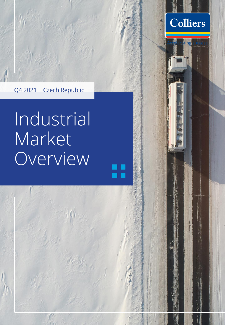

Colliers

ting

# Industrial Market Overview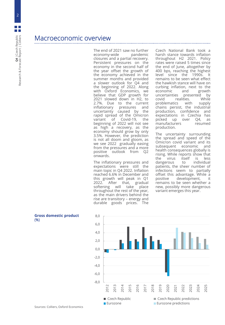# Macroeconomic overview

The end of 2021 saw no further<br>economy-wide pandemic economy-wide closures and a partial recovery. Persistent pressures on the economy in the second half of the year offset the growth of the economy achieved in the summer months and provided a slower outlook for Q4 and the beginning of 2022. Along with Oxford Economics, we believe that GDP growth for 2021 slowed down in H2, to 2.7%. Due to the current inflationary pressures and uncertainty caused by the rapid spread of the Omicron variant of Covid-19, the beginning of 2022 will not see as high a recovery, as the economy should grow by only 3.5%. However, the prediction is not all doom and gloom, as we see 2022 gradually easing from the pressures and a more positive outlook from Q2 onwards.

The inflationary pressures and expectations were still the main topic in Q4 2022. Inflation reached 6.6% in December and this growth will peak in Q1<br>2022. After that, gradual 2022. After that, gradual<br>softening will take place will take throughout the rest of the year, as the main drivers behind the rise are transitory – energy and durable goods prices. The

Czech National Bank took a harsh stance towards inflation throughout H2 2021. Policy rates were raised 5 times since the end of June, altogether by 400 bps, reaching the highest level since the 1990s. It remains to be seen what effect the hawkish stance will have on curbing inflation, next to the<br>economic and growth economic and uncertainties presented by covid realities. While problematics with supply chains persist, the industrial production, confidence and expectations in Czechia has picked up over Q4, as manufacturers resumed production.

The uncertainty surrounding the spread and speed of the Omicron covid variant and its subsequent economic and health consequences globally is rising. While reports show that<br>the virus itself is less virus itself is less<br>erous to individual dangerous patients, the sheer number of infections seem to partially offset this advantage. While a positive development, it remains to be seen whether a new, possibly more dangerous variant emerges this year.



**Gross domestic product** (%)

2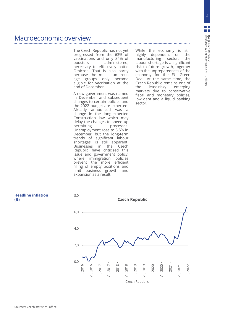3

# Macroeconomic overview

The Czech Republic has not yet progressed from the 63% of vaccinations and only 34% of administered, necessary to effectively battle Omicron. That is also partly because the most numerous age groups only became eligible for vaccination at the end of December.

A new government was named in December and subsequent changes to certain policies and the 2022 budget are expected. Already announced was a change in the long-expected Construction law which may delay the changes to speed up<br>permitting processes. processes. Unemployment rose to 3.5% in December, but the long-term trends of significant labour shortages, is still apparent. Businesses in the Czech Republic have criticised this issue and government policy, where immigration policies prevent the more efficient filling of empty positions and limit business growth and expansion as a result.

While the economy is still<br>highly dependent on the highly dependent on the<br>manufacturing sector, the manufacturing labour shortage is a significant risk to future growth, together with the unpreparedness of the economy for the EU Green Deal. At the same time, the Czech Republic remains one of the least-risky emerging markets due to conservative fiscal and monetary policies, low debt and a liquid banking sector.



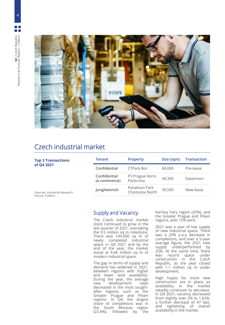4



# Czech industrial market

| <b>Top 3 Transactions</b><br>of Q4 2021<br>Sources: Industrial Research<br>Forum, Colliers | <b>Tenant</b>                | <b>Property</b>                  | Size (sqm) | <b>Transaction</b> |
|--------------------------------------------------------------------------------------------|------------------------------|----------------------------------|------------|--------------------|
|                                                                                            | Confidential                 | <b>CTPark Bor</b>                | 60,000     | Pre-lease          |
|                                                                                            | Confidential<br>(e-commerce) | P3 Prague Horní<br>Počernice     | 40,300     | Expansion          |
|                                                                                            | Jungheinrich                 | Panattoni Park<br>Chomutov North | 39,500     | New lease          |
|                                                                                            |                              |                                  |            |                    |

Supply and Vacancy

The Czech industrial market stock continued to grow in the last quarter of 2021, overtaking the 9.5 million sq m milestone. There was 149,000 sq m of newly completed industrial space in Q4 2021 and by the end of the year, the market stood at 9.66 million sq m of modern industrial space.

The gap in terms of supply and demand has widened in 2021, between regions with higher and lower land availability. During the year, the average new development rates decreased in the most soughtafter regions, such as the Greater Prague and Pilsen regions. In Q4, the largest share of completions was in the South Moravia region (22.6%), followed by the

Karlovy Vary region (20%), and the Greater Prague and Pilsen regions, with 15% each.

2021 was a year of low supply of new industrial space. There was a 29% y-o-y decrease in completions, and over a 5-year average figure, the 2021 new supply underperformed by 23%. At the same time, there was record space under construction in the Czech Republic, as the year closed with 1.1 million sq m under development.

High hopes for more new construction are in place, as availability in the market steadily continues to decrease. In Q4 2021, vacancy decreased from slightly over 2% to 1.62%, a further decrease of 47 bps, and tightening of overall availability in the market.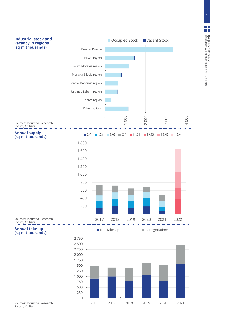



Sources: Industrial Research Forum, Colliers

**Annual supply (sq m thousands)** 



Sources: Industrial Research Forum, Colliers

#### **Annual take-up (sq m thousands)**

■ Net Take-Up Renegotiations



Sources: Industrial Research Forum, Colliers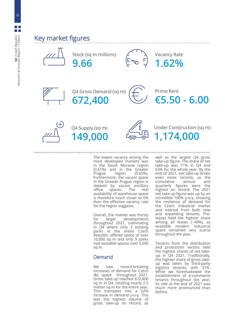6





The lowest vacancy among the most developed markets was in the South Moravia region (0.61%) and in the Greater Prague region (0.65%). Furthermore, the vacant space in the Greater Prague region is skewed by vacant ancillary<br>office spaces. The real office spaces. The real availability of warehouse space is therefore much closer to 0% than the effective vacancy rate for the region suggests.

Overall, the market was thirsty<br>for larger developments developments throughout 2021, culminating in Q4 where only 3 existing parks in the entire Czech Republic offered space of over 10,000 sq m and only 9 parks had available spaces over 5,000 sq m.

### Demand

We saw record-breaking increases of demand for Czech I&L space throughout 2021. Gross take-up reached 672,400 sq m in Q4, totalling nearly 2.5 million sq m for the entire year. This translates into a 62% increase in demand y-o-y. This was the highest volume of gross take-up on record, as

well as the largest Q4 gross take-up figure. The share of net take-up was 71% in Q4 and 63% for the whole year. By the end of 2021, net take-up broke even more records, as the cumulative annual and quarterly figures were the highest on record. The 2021 net take up figure was up by an incredible 100% y-o-y, showing the resilience of demand for the Czech industrial market and interest from both new and expanding tenants. Preleases held the highest share among all leases (~40%), as available modern industrial space remained very scarce throughout the year.

Tenants from the distribution and production sectors held the highest shares of net takeup in Q4 2021. Traditionally, the highest share of gross takeup was taken by third-party logistics tenants, with 31%. While we foreshadowed the establishment of e-commerce tenants throughout the year, its role at the end of 2021 was much more pronounced than before.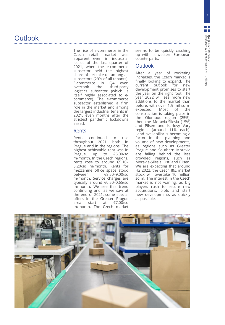The rise of e -commerce in the Czech retail market was apparent even in industrial leases of the last quarter of 2021 , when the e -commerce subsector held the highest share of net take -up among all subsectors (29 % of all tenants) . E -commerce in Q4 even overtook the third-party logistics subsector (which is itself highly associated to ecommerce) . The e -commerce subsector established a firm role in the market and among the largest industrial tenants in 2021 , even months after the strictest pandemic lockdowns eased .

#### Rents

Rents continued to rise throughout 2021 , both in Prague and in the regions . The highest achievable rent was in Prague, up to € 6 .00 /sq m/month . In the Czech regions, rents rose to around €5.10-5 .20 /sq m/month . Rents for mezzanine office space stood between € 8 .50 – 9 .00 /sq m/month . Service charges are typically around €0.50-0.65/sq m/month . We see this trend continuing and, as we saw at the end of 2021 , some special offers in the Greater Prague area start at € 7 .00 /sq m/month . The Czech market

seems to be quickly catching up with its western European counterparts .

#### **Outlook**

After a year of rocketing increases, the Czech market is finally looking to expand . The current outlook for new development promises to start the year on the right foot . The year 2022 will see more new additions to the market than before, with over 1 . 5 mil sq m expected . Most of the construction is taking place in the Olomouc region (25 %), then the Moravia -Silesia (15 % ) and Pilsen and Karlovy Vary regions (around 11 % each) . Land availability is becoming a factor in the planning and volume of new developments, as regions such as Greater Prague and Southern Moravia are falling behind the less crowded regions, such as Moravia -Silesia, Ústí and Pilsen . We are expecting that around H2 2022, the Czech I&L market stock will overtake 10 million sq m . The interest in the Czech market is not waning, as big players rush to secure new acquisitions, plots and start new developments as quickly as possible .